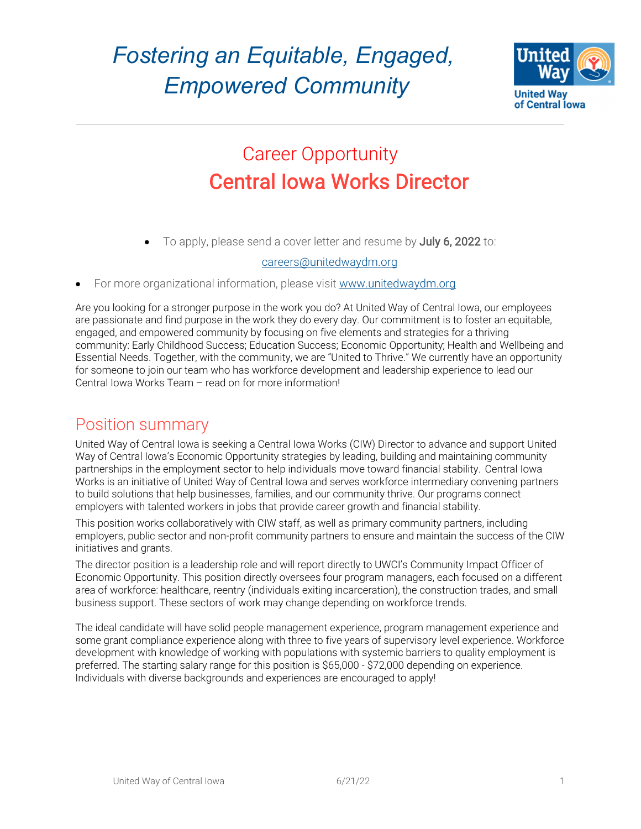

## Career Opportunity Central Iowa Works Director

• To apply, please send a cover letter and resume by July 6, 2022 to:

#### careers@unitedwaydm.org

For more organizational information, please visit www.unitedwaydm.org

Are you looking for a stronger purpose in the work you do? At United Way of Central Iowa, our employees are passionate and find purpose in the work they do every day. Our commitment is to foster an equitable, engaged, and empowered community by focusing on five elements and strategies for a thriving community: Early Childhood Success; Education Success; Economic Opportunity; Health and Wellbeing and Essential Needs. Together, with the community, we are "United to Thrive." We currently have an opportunity for someone to join our team who has workforce development and leadership experience to lead our Central Iowa Works Team – read on for more information!

#### Position summary

United Way of Central Iowa is seeking a Central Iowa Works (CIW) Director to advance and support United Way of Central Iowa's Economic Opportunity strategies by leading, building and maintaining community partnerships in the employment sector to help individuals move toward financial stability. Central Iowa Works is an initiative of United Way of Central Iowa and serves workforce intermediary convening partners to build solutions that help businesses, families, and our community thrive. Our programs connect employers with talented workers in jobs that provide career growth and financial stability.

This position works collaboratively with CIW staff, as well as primary community partners, including employers, public sector and non-profit community partners to ensure and maintain the success of the CIW initiatives and grants.

The director position is a leadership role and will report directly to UWCI's Community Impact Officer of Economic Opportunity. This position directly oversees four program managers, each focused on a different area of workforce: healthcare, reentry (individuals exiting incarceration), the construction trades, and small business support. These sectors of work may change depending on workforce trends.

The ideal candidate will have solid people management experience, program management experience and some grant compliance experience along with three to five years of supervisory level experience. Workforce development with knowledge of working with populations with systemic barriers to quality employment is preferred. The starting salary range for this position is \$65,000 - \$72,000 depending on experience. Individuals with diverse backgrounds and experiences are encouraged to apply!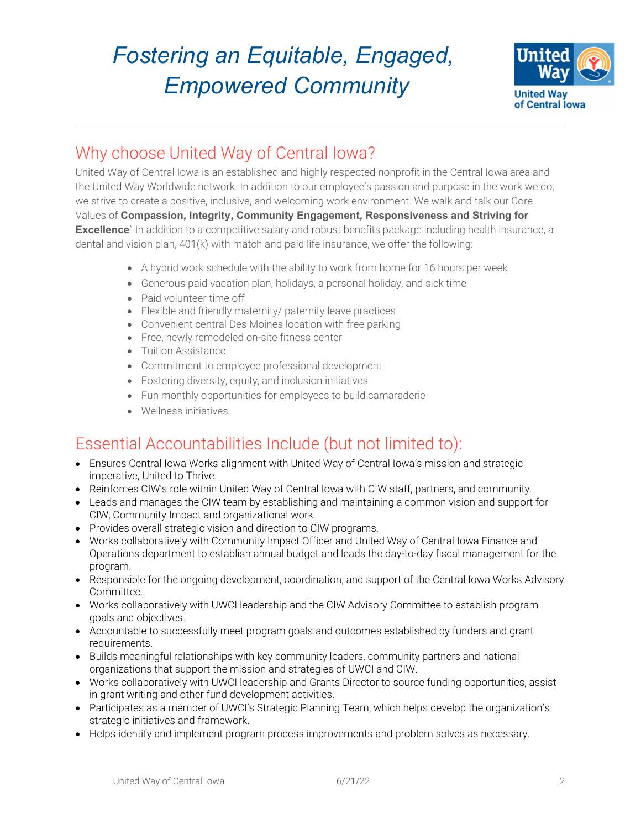

### Why choose United Way of Central Iowa?

United Way of Central Iowa is an established and highly respected nonprofit in the Central Iowa area and the United Way Worldwide network. In addition to our employee's passion and purpose in the work we do, we strive to create a positive, inclusive, and welcoming work environment. We walk and talk our Core Values of **Compassion, Integrity, Community Engagement, Responsiveness and Striving for Excellence**" In addition to a competitive salary and robust benefits package including health insurance, a dental and vision plan, 401(k) with match and paid life insurance, we offer the following:

- A hybrid work schedule with the ability to work from home for 16 hours per week
- Generous paid vacation plan, holidays, a personal holiday, and sick time
- Paid volunteer time off
- Flexible and friendly maternity/ paternity leave practices
- Convenient central Des Moines location with free parking
- Free, newly remodeled on-site fitness center
- Tuition Assistance
- Commitment to employee professional development
- Fostering diversity, equity, and inclusion initiatives
- Fun monthly opportunities for employees to build camaraderie
- Wellness initiatives

### Essential Accountabilities Include (but not limited to):

- Ensures Central Iowa Works alignment with United Way of Central Iowa's mission and strategic imperative, United to Thrive.
- Reinforces CIW's role within United Way of Central Iowa with CIW staff, partners, and community.
- Leads and manages the CIW team by establishing and maintaining a common vision and support for CIW, Community Impact and organizational work.
- Provides overall strategic vision and direction to CIW programs.
- Works collaboratively with Community Impact Officer and United Way of Central Iowa Finance and Operations department to establish annual budget and leads the day-to-day fiscal management for the program.
- Responsible for the ongoing development, coordination, and support of the Central Iowa Works Advisory Committee.
- Works collaboratively with UWCI leadership and the CIW Advisory Committee to establish program goals and objectives.
- Accountable to successfully meet program goals and outcomes established by funders and grant requirements.
- Builds meaningful relationships with key community leaders, community partners and national organizations that support the mission and strategies of UWCI and CIW.
- Works collaboratively with UWCI leadership and Grants Director to source funding opportunities, assist in grant writing and other fund development activities.
- Participates as a member of UWCI's Strategic Planning Team, which helps develop the organization's strategic initiatives and framework.
- Helps identify and implement program process improvements and problem solves as necessary.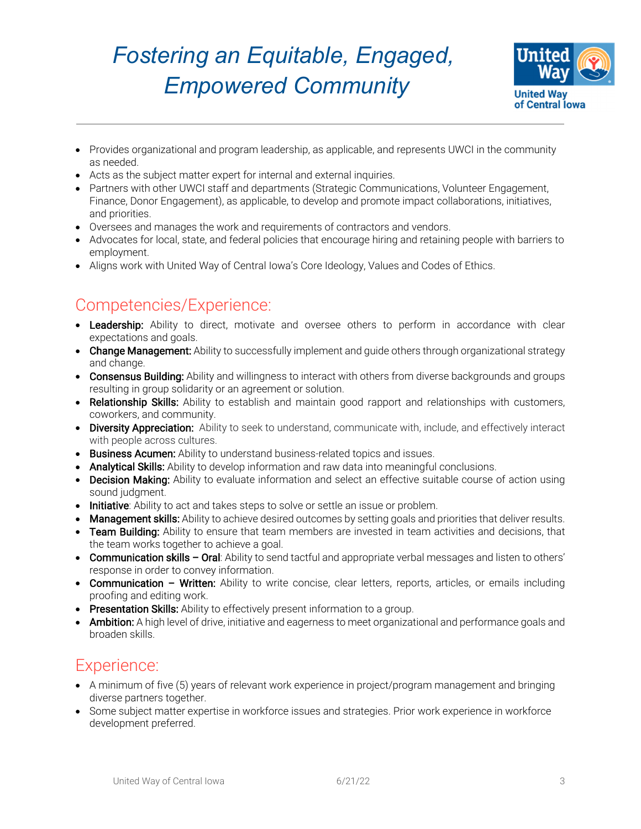

- Provides organizational and program leadership, as applicable, and represents UWCI in the community as needed.
- Acts as the subject matter expert for internal and external inquiries.
- Partners with other UWCI staff and departments (Strategic Communications, Volunteer Engagement, Finance, Donor Engagement), as applicable, to develop and promote impact collaborations, initiatives, and priorities.
- Oversees and manages the work and requirements of contractors and vendors.
- Advocates for local, state, and federal policies that encourage hiring and retaining people with barriers to employment.
- Aligns work with United Way of Central Iowa's Core Ideology, Values and Codes of Ethics.

### Competencies/Experience:

- Leadership: Ability to direct, motivate and oversee others to perform in accordance with clear expectations and goals.
- Change Management: Ability to successfully implement and quide others through organizational strategy and change.
- Consensus Building: Ability and willingness to interact with others from diverse backgrounds and groups resulting in group solidarity or an agreement or solution.
- Relationship Skills: Ability to establish and maintain good rapport and relationships with customers, coworkers, and community.
- Diversity Appreciation: Ability to seek to understand, communicate with, include, and effectively interact with people across cultures.
- **Business Acumen:** Ability to understand business-related topics and issues.
- Analytical Skills: Ability to develop information and raw data into meaningful conclusions.
- Decision Making: Ability to evaluate information and select an effective suitable course of action using sound judgment.
- **Initiative**: Ability to act and takes steps to solve or settle an issue or problem.
- Management skills: Ability to achieve desired outcomes by setting goals and priorities that deliver results.
- Team Building: Ability to ensure that team members are invested in team activities and decisions, that the team works together to achieve a goal.
- Communication skills Oral: Ability to send tactful and appropriate verbal messages and listen to others' response in order to convey information.
- Communication Written: Ability to write concise, clear letters, reports, articles, or emails including proofing and editing work.
- **Presentation Skills:** Ability to effectively present information to a group.
- Ambition: A high level of drive, initiative and eagerness to meet organizational and performance goals and broaden skills.

#### Experience:

- A minimum of five (5) years of relevant work experience in project/program management and bringing diverse partners together.
- Some subject matter expertise in workforce issues and strategies. Prior work experience in workforce development preferred.